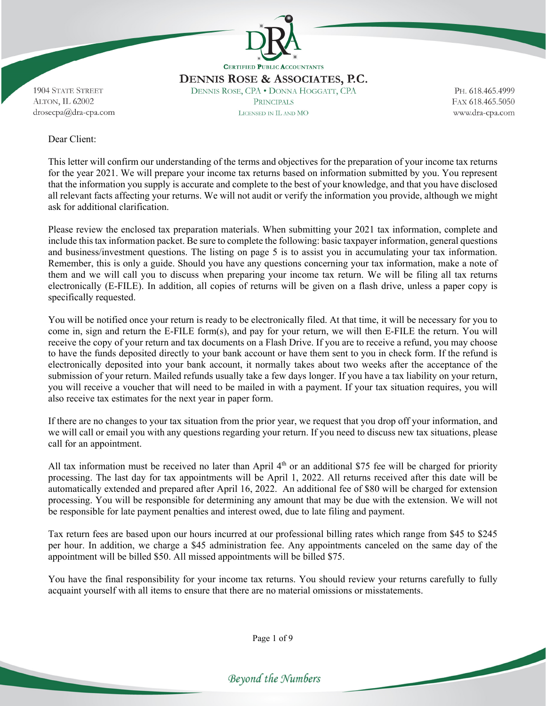

DENNIS ROSE & ASSOCIATES, P.C. DENNIS ROSE, CPA . DONNA HOGGATT, CPA **PRINCIPALS** LICENSED IN IL AND MO

PH. 618.465.4999 FAX 618.465.5050 www.dra-cpa.com

1904 STATE STREET ALTON, IL 62002 drosecpa@dra-cpa.com

#### Dear Client:

This letter will confirm our understanding of the terms and objectives for the preparation of your income tax returns for the year 2021. We will prepare your income tax returns based on information submitted by you. You represent that the information you supply is accurate and complete to the best of your knowledge, and that you have disclosed all relevant facts affecting your returns. We will not audit or verify the information you provide, although we might ask for additional clarification.

Please review the enclosed tax preparation materials. When submitting your 2021 tax information, complete and include this tax information packet. Be sure to complete the following: basic taxpayer information, general questions and business/investment questions. The listing on page 5 is to assist you in accumulating your tax information. Remember, this is only a guide. Should you have any questions concerning your tax information, make a note of them and we will call you to discuss when preparing your income tax return. We will be filing all tax returns electronically (E-FILE). In addition, all copies of returns will be given on a flash drive, unless a paper copy is specifically requested.

You will be notified once your return is ready to be electronically filed. At that time, it will be necessary for you to come in, sign and return the E-FILE form(s), and pay for your return, we will then E-FILE the return. You will receive the copy of your return and tax documents on a Flash Drive. If you are to receive a refund, you may choose to have the funds deposited directly to your bank account or have them sent to you in check form. If the refund is electronically deposited into your bank account, it normally takes about two weeks after the acceptance of the submission of your return. Mailed refunds usually take a few days longer. If you have a tax liability on your return, you will receive a voucher that will need to be mailed in with a payment. If your tax situation requires, you will also receive tax estimates for the next year in paper form.

If there are no changes to your tax situation from the prior year, we request that you drop off your information, and we will call or email you with any questions regarding your return. If you need to discuss new tax situations, please call for an appointment.

All tax information must be received no later than April  $4<sup>th</sup>$  or an additional \$75 fee will be charged for priority processing. The last day for tax appointments will be April 1, 2022. All returns received after this date will be automatically extended and prepared after April 16, 2022. An additional fee of \$80 will be charged for extension processing. You will be responsible for determining any amount that may be due with the extension. We will not be responsible for late payment penalties and interest owed, due to late filing and payment.

Tax return fees are based upon our hours incurred at our professional billing rates which range from \$45 to \$245 per hour. In addition, we charge a \$45 administration fee. Any appointments canceled on the same day of the appointment will be billed \$50. All missed appointments will be billed \$75.

You have the final responsibility for your income tax returns. You should review your returns carefully to fully acquaint yourself with all items to ensure that there are no material omissions or misstatements.

Page 1 of 9

Beyond the Numbers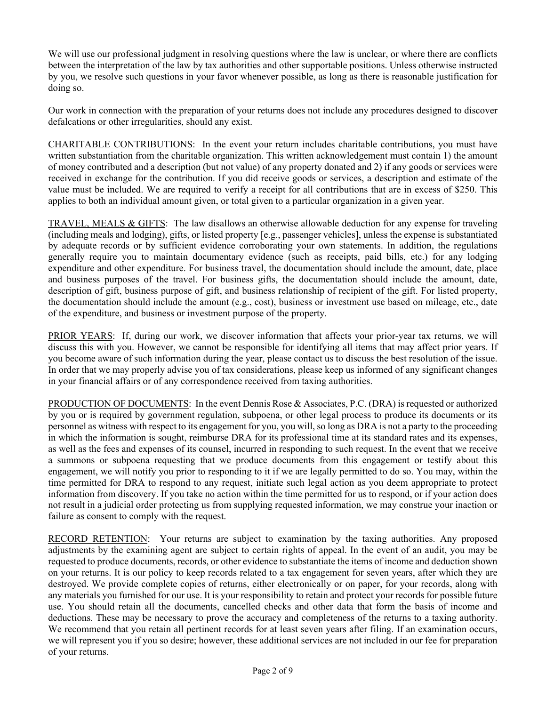We will use our professional judgment in resolving questions where the law is unclear, or where there are conflicts between the interpretation of the law by tax authorities and other supportable positions. Unless otherwise instructed by you, we resolve such questions in your favor whenever possible, as long as there is reasonable justification for doing so.

Our work in connection with the preparation of your returns does not include any procedures designed to discover defalcations or other irregularities, should any exist.

CHARITABLE CONTRIBUTIONS: In the event your return includes charitable contributions, you must have written substantiation from the charitable organization. This written acknowledgement must contain 1) the amount of money contributed and a description (but not value) of any property donated and 2) if any goods or services were received in exchange for the contribution. If you did receive goods or services, a description and estimate of the value must be included. We are required to verify a receipt for all contributions that are in excess of \$250. This applies to both an individual amount given, or total given to a particular organization in a given year.

TRAVEL, MEALS & GIFTS: The law disallows an otherwise allowable deduction for any expense for traveling (including meals and lodging), gifts, or listed property [e.g., passenger vehicles], unless the expense is substantiated by adequate records or by sufficient evidence corroborating your own statements. In addition, the regulations generally require you to maintain documentary evidence (such as receipts, paid bills, etc.) for any lodging expenditure and other expenditure. For business travel, the documentation should include the amount, date, place and business purposes of the travel. For business gifts, the documentation should include the amount, date, description of gift, business purpose of gift, and business relationship of recipient of the gift. For listed property, the documentation should include the amount (e.g., cost), business or investment use based on mileage, etc., date of the expenditure, and business or investment purpose of the property.

PRIOR YEARS: If, during our work, we discover information that affects your prior-year tax returns, we will discuss this with you. However, we cannot be responsible for identifying all items that may affect prior years. If you become aware of such information during the year, please contact us to discuss the best resolution of the issue. In order that we may properly advise you of tax considerations, please keep us informed of any significant changes in your financial affairs or of any correspondence received from taxing authorities.

PRODUCTION OF DOCUMENTS: In the event Dennis Rose & Associates, P.C. (DRA) is requested or authorized by you or is required by government regulation, subpoena, or other legal process to produce its documents or its personnel as witness with respect to its engagement for you, you will, so long as DRA is not a party to the proceeding in which the information is sought, reimburse DRA for its professional time at its standard rates and its expenses, as well as the fees and expenses of its counsel, incurred in responding to such request. In the event that we receive a summons or subpoena requesting that we produce documents from this engagement or testify about this engagement, we will notify you prior to responding to it if we are legally permitted to do so. You may, within the time permitted for DRA to respond to any request, initiate such legal action as you deem appropriate to protect information from discovery. If you take no action within the time permitted for us to respond, or if your action does not result in a judicial order protecting us from supplying requested information, we may construe your inaction or failure as consent to comply with the request.

RECORD RETENTION: Your returns are subject to examination by the taxing authorities. Any proposed adjustments by the examining agent are subject to certain rights of appeal. In the event of an audit, you may be requested to produce documents, records, or other evidence to substantiate the items of income and deduction shown on your returns. It is our policy to keep records related to a tax engagement for seven years, after which they are destroyed. We provide complete copies of returns, either electronically or on paper, for your records, along with any materials you furnished for our use. It is your responsibility to retain and protect your records for possible future use. You should retain all the documents, cancelled checks and other data that form the basis of income and deductions. These may be necessary to prove the accuracy and completeness of the returns to a taxing authority. We recommend that you retain all pertinent records for at least seven years after filing. If an examination occurs, we will represent you if you so desire; however, these additional services are not included in our fee for preparation of your returns.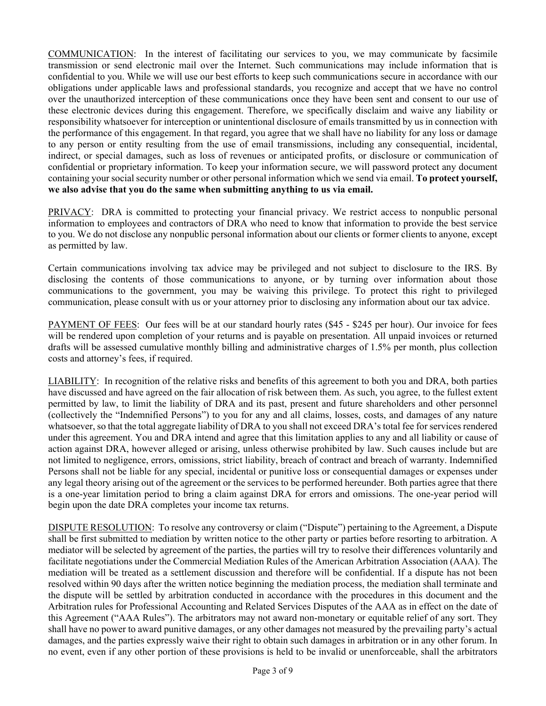COMMUNICATION: In the interest of facilitating our services to you, we may communicate by facsimile transmission or send electronic mail over the Internet. Such communications may include information that is confidential to you. While we will use our best efforts to keep such communications secure in accordance with our obligations under applicable laws and professional standards, you recognize and accept that we have no control over the unauthorized interception of these communications once they have been sent and consent to our use of these electronic devices during this engagement. Therefore, we specifically disclaim and waive any liability or responsibility whatsoever for interception or unintentional disclosure of emails transmitted by us in connection with the performance of this engagement. In that regard, you agree that we shall have no liability for any loss or damage to any person or entity resulting from the use of email transmissions, including any consequential, incidental, indirect, or special damages, such as loss of revenues or anticipated profits, or disclosure or communication of confidential or proprietary information. To keep your information secure, we will password protect any document containing your social security number or other personal information which we send via email. **To protect yourself, we also advise that you do the same when submitting anything to us via email.** 

PRIVACY: DRA is committed to protecting your financial privacy. We restrict access to nonpublic personal information to employees and contractors of DRA who need to know that information to provide the best service to you. We do not disclose any nonpublic personal information about our clients or former clients to anyone, except as permitted by law.

Certain communications involving tax advice may be privileged and not subject to disclosure to the IRS. By disclosing the contents of those communications to anyone, or by turning over information about those communications to the government, you may be waiving this privilege. To protect this right to privileged communication, please consult with us or your attorney prior to disclosing any information about our tax advice.

PAYMENT OF FEES: Our fees will be at our standard hourly rates (\$45 - \$245 per hour). Our invoice for fees will be rendered upon completion of your returns and is payable on presentation. All unpaid invoices or returned drafts will be assessed cumulative monthly billing and administrative charges of 1.5% per month, plus collection costs and attorney's fees, if required.

LIABILITY: In recognition of the relative risks and benefits of this agreement to both you and DRA, both parties have discussed and have agreed on the fair allocation of risk between them. As such, you agree, to the fullest extent permitted by law, to limit the liability of DRA and its past, present and future shareholders and other personnel (collectively the "Indemnified Persons") to you for any and all claims, losses, costs, and damages of any nature whatsoever, so that the total aggregate liability of DRA to you shall not exceed DRA's total fee for services rendered under this agreement. You and DRA intend and agree that this limitation applies to any and all liability or cause of action against DRA, however alleged or arising, unless otherwise prohibited by law. Such causes include but are not limited to negligence, errors, omissions, strict liability, breach of contract and breach of warranty. Indemnified Persons shall not be liable for any special, incidental or punitive loss or consequential damages or expenses under any legal theory arising out of the agreement or the services to be performed hereunder. Both parties agree that there is a one-year limitation period to bring a claim against DRA for errors and omissions. The one-year period will begin upon the date DRA completes your income tax returns.

DISPUTE RESOLUTION: To resolve any controversy or claim ("Dispute") pertaining to the Agreement, a Dispute shall be first submitted to mediation by written notice to the other party or parties before resorting to arbitration. A mediator will be selected by agreement of the parties, the parties will try to resolve their differences voluntarily and facilitate negotiations under the Commercial Mediation Rules of the American Arbitration Association (AAA). The mediation will be treated as a settlement discussion and therefore will be confidential. If a dispute has not been resolved within 90 days after the written notice beginning the mediation process, the mediation shall terminate and the dispute will be settled by arbitration conducted in accordance with the procedures in this document and the Arbitration rules for Professional Accounting and Related Services Disputes of the AAA as in effect on the date of this Agreement ("AAA Rules"). The arbitrators may not award non-monetary or equitable relief of any sort. They shall have no power to award punitive damages, or any other damages not measured by the prevailing party's actual damages, and the parties expressly waive their right to obtain such damages in arbitration or in any other forum. In no event, even if any other portion of these provisions is held to be invalid or unenforceable, shall the arbitrators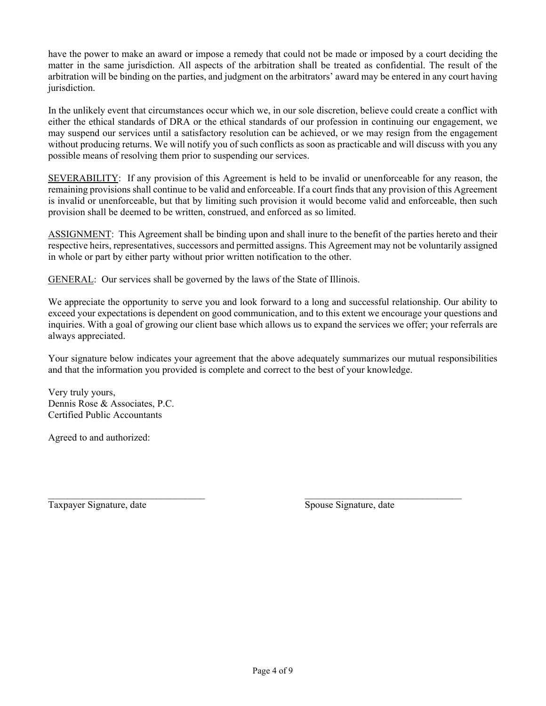have the power to make an award or impose a remedy that could not be made or imposed by a court deciding the matter in the same jurisdiction. All aspects of the arbitration shall be treated as confidential. The result of the arbitration will be binding on the parties, and judgment on the arbitrators' award may be entered in any court having jurisdiction.

In the unlikely event that circumstances occur which we, in our sole discretion, believe could create a conflict with either the ethical standards of DRA or the ethical standards of our profession in continuing our engagement, we may suspend our services until a satisfactory resolution can be achieved, or we may resign from the engagement without producing returns. We will notify you of such conflicts as soon as practicable and will discuss with you any possible means of resolving them prior to suspending our services.

SEVERABILITY: If any provision of this Agreement is held to be invalid or unenforceable for any reason, the remaining provisions shall continue to be valid and enforceable. If a court finds that any provision of this Agreement is invalid or unenforceable, but that by limiting such provision it would become valid and enforceable, then such provision shall be deemed to be written, construed, and enforced as so limited.

ASSIGNMENT: This Agreement shall be binding upon and shall inure to the benefit of the parties hereto and their respective heirs, representatives, successors and permitted assigns. This Agreement may not be voluntarily assigned in whole or part by either party without prior written notification to the other.

GENERAL: Our services shall be governed by the laws of the State of Illinois.

We appreciate the opportunity to serve you and look forward to a long and successful relationship. Our ability to exceed your expectations is dependent on good communication, and to this extent we encourage your questions and inquiries. With a goal of growing our client base which allows us to expand the services we offer; your referrals are always appreciated.

Your signature below indicates your agreement that the above adequately summarizes our mutual responsibilities and that the information you provided is complete and correct to the best of your knowledge.

Very truly yours, Dennis Rose & Associates, P.C. Certified Public Accountants

Agreed to and authorized:

Taxpayer Signature, date Spouse Signature, date

 $\mathcal{L}_\text{max} = \mathcal{L}_\text{max} = \mathcal{L}_\text{max} = \mathcal{L}_\text{max} = \mathcal{L}_\text{max} = \mathcal{L}_\text{max} = \mathcal{L}_\text{max} = \mathcal{L}_\text{max} = \mathcal{L}_\text{max} = \mathcal{L}_\text{max} = \mathcal{L}_\text{max} = \mathcal{L}_\text{max} = \mathcal{L}_\text{max} = \mathcal{L}_\text{max} = \mathcal{L}_\text{max} = \mathcal{L}_\text{max} = \mathcal{L}_\text{max} = \mathcal{L}_\text{max} = \mathcal{$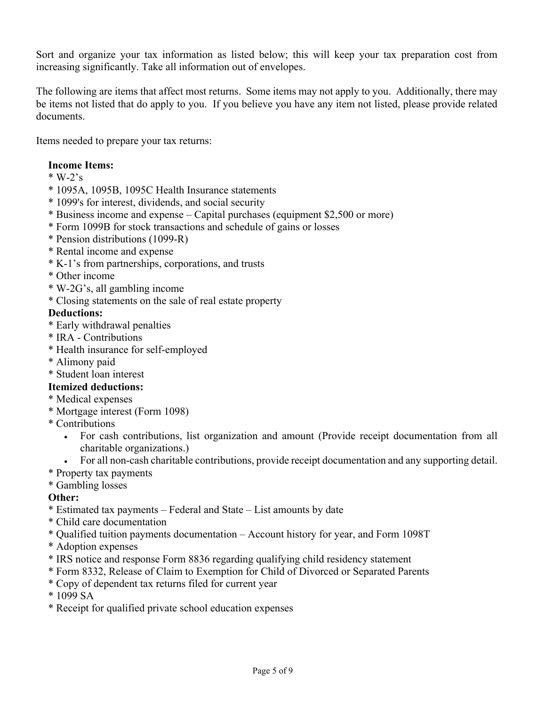Sort and organize your tax information as listed below; this will keep your tax preparation cost from increasing significantly. Take all information out of envelopes.

The following are items that affect most returns. Some items may not apply to you. Additionally, there may be items not listed that do apply to you. If you believe you have any item not listed, please provide related documents.

Items needed to prepare your tax returns:

## **Income Items:**

- $*$  W-2's
- \* 1095A, 1095B, 1095C Health Insurance statements
- \* 1099's for interest, dividends, and social security
- \* Business income and expense Capital purchases (equipment \$2,500 or more)
- \* Form 1099B for stock transactions and schedule of gains or losses
- \* Pension distributions (1099-R)
- \* Rental income and expense
- \* K-1's from partnerships, corporations, and trusts
- \* Other income
- \* W-2G's, all gambling income
- \* Closing statements on the sale of real estate property

## **Deductions:**

- \* Early withdrawal penalties
- \* IRA Contributions
- \* Health insurance for self-employed
- \* Alimony paid
- \* Student loan interest

## **Itemized deductions:**

- \* Medical expenses
- \* Mortgage interest (Form 1098)
- \* Contributions
	- For cash contributions, list organization and amount (Provide receipt documentation from all charitable organizations.)
	- For all non-cash charitable contributions, provide receipt documentation and any supporting detail.
- \* Property tax payments
- \* Gambling losses

## **Other:**

- \* Estimated tax payments Federal and State List amounts by date
- \* Child care documentation
- \* Qualified tuition payments documentation Account history for year, and Form 1098T
- \* Adoption expenses
- \* IRS notice and response Form 8836 regarding qualifying child residency statement
- \* Form 8332, Release of Claim to Exemption for Child of Divorced or Separated Parents
- \* Copy of dependent tax returns filed for current year
- \* 1099 SA
- \* Receipt for qualified private school education expenses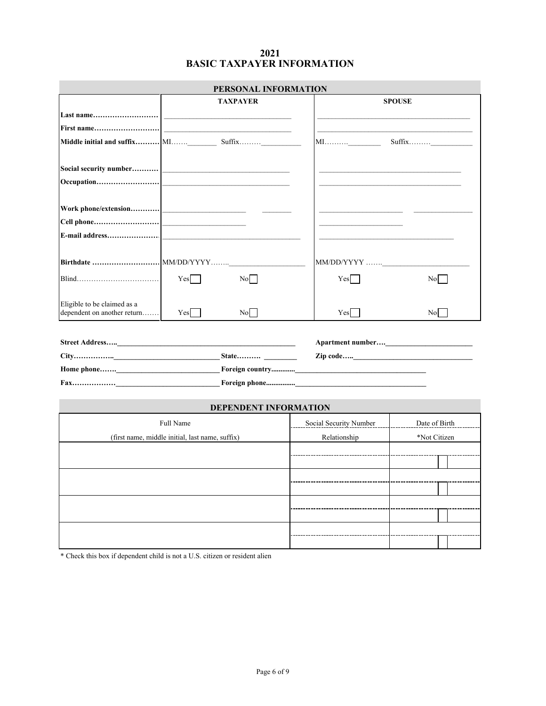#### **BASIC TAXPAYER INFORMATION 2021**

| PERSONAL INFORMATION                                                                                                                                                                                                      |                        |                    |
|---------------------------------------------------------------------------------------------------------------------------------------------------------------------------------------------------------------------------|------------------------|--------------------|
| <b>TAXPAYER</b>                                                                                                                                                                                                           |                        | <b>SPOUSE</b>      |
|                                                                                                                                                                                                                           |                        |                    |
|                                                                                                                                                                                                                           |                        |                    |
| Middle initial and suffix MI Suffix                                                                                                                                                                                       |                        |                    |
|                                                                                                                                                                                                                           |                        |                    |
| Social security number <br><u> and</u> the security number of the security number of the security of the security of the second security of the second second second second second second second second second second sec |                        |                    |
|                                                                                                                                                                                                                           |                        |                    |
|                                                                                                                                                                                                                           |                        |                    |
|                                                                                                                                                                                                                           |                        |                    |
|                                                                                                                                                                                                                           |                        |                    |
|                                                                                                                                                                                                                           |                        |                    |
|                                                                                                                                                                                                                           | MM/DD/YYYY             |                    |
| Yes<br>No l                                                                                                                                                                                                               | Yes                    | No                 |
|                                                                                                                                                                                                                           |                        |                    |
| Eligible to be claimed as a<br>dependent on another return<br>Yes<br>No l                                                                                                                                                 | Yes                    | No                 |
|                                                                                                                                                                                                                           |                        |                    |
|                                                                                                                                                                                                                           |                        |                    |
|                                                                                                                                                                                                                           |                        |                    |
|                                                                                                                                                                                                                           |                        |                    |
|                                                                                                                                                                                                                           |                        |                    |
|                                                                                                                                                                                                                           |                        |                    |
| <b>DEPENDENT INFORMATION</b>                                                                                                                                                                                              |                        |                    |
| Full Name                                                                                                                                                                                                                 | Social Security Number | Date of Birth      |
| (first name, middle initial, last name, suffix)                                                                                                                                                                           | Relationship           | *Not Citizen       |
|                                                                                                                                                                                                                           |                        |                    |
|                                                                                                                                                                                                                           |                        |                    |
|                                                                                                                                                                                                                           |                        | ------------------ |
|                                                                                                                                                                                                                           |                        |                    |
|                                                                                                                                                                                                                           |                        |                    |
|                                                                                                                                                                                                                           |                        |                    |
|                                                                                                                                                                                                                           |                        |                    |

\* Check this box if dependent child is not a U.S. citizen or resident alien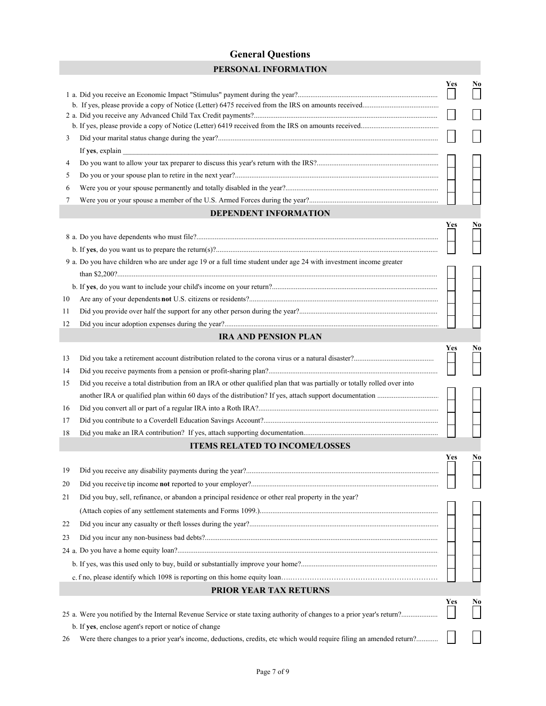## **General Questions**

|    | PERSONAL INFORMATION                                                                                                    |     |                |
|----|-------------------------------------------------------------------------------------------------------------------------|-----|----------------|
|    |                                                                                                                         | Yes | N <sub>0</sub> |
|    |                                                                                                                         |     |                |
|    |                                                                                                                         |     |                |
|    |                                                                                                                         |     |                |
| 3  |                                                                                                                         |     |                |
|    | If yes, explain                                                                                                         |     |                |
| 4  |                                                                                                                         |     |                |
| 5  |                                                                                                                         |     |                |
| 6  |                                                                                                                         |     |                |
| 7  |                                                                                                                         |     |                |
|    | <b>DEPENDENT INFORMATION</b>                                                                                            |     |                |
|    |                                                                                                                         | Yes | No             |
|    |                                                                                                                         |     |                |
|    |                                                                                                                         |     |                |
|    | 9 a. Do you have children who are under age 19 or a full time student under age 24 with investment income greater       |     |                |
|    |                                                                                                                         |     |                |
|    |                                                                                                                         |     |                |
| 10 |                                                                                                                         |     |                |
| 11 |                                                                                                                         |     |                |
| 12 |                                                                                                                         |     |                |
|    | <b>IRA AND PENSION PLAN</b>                                                                                             |     |                |
| 13 |                                                                                                                         | Yes | No             |
| 14 |                                                                                                                         |     |                |
| 15 | Did you receive a total distribution from an IRA or other qualified plan that was partially or totally rolled over into |     |                |
|    |                                                                                                                         |     |                |
| 16 |                                                                                                                         |     |                |
| 17 |                                                                                                                         |     |                |
| 18 |                                                                                                                         |     |                |
|    | <b>ITEMS RELATED TO INCOME/LOSSES</b>                                                                                   |     |                |
|    |                                                                                                                         | Yes | N <sub>0</sub> |
| 19 |                                                                                                                         |     |                |
| 20 |                                                                                                                         |     |                |
| 21 | Did you buy, sell, refinance, or abandon a principal residence or other real property in the year?                      |     |                |
|    |                                                                                                                         |     |                |
| 22 |                                                                                                                         |     |                |
| 23 |                                                                                                                         |     |                |
|    |                                                                                                                         |     |                |
|    |                                                                                                                         |     |                |
|    |                                                                                                                         |     |                |
|    | PRIOR YEAR TAX RETURNS                                                                                                  |     |                |
|    |                                                                                                                         | Yes | No             |
|    |                                                                                                                         |     |                |
|    | b. If yes, enclose agent's report or notice of change                                                                   |     |                |
| 26 | Were there changes to a prior year's income, deductions, credits, etc which would require filing an amended return?     |     |                |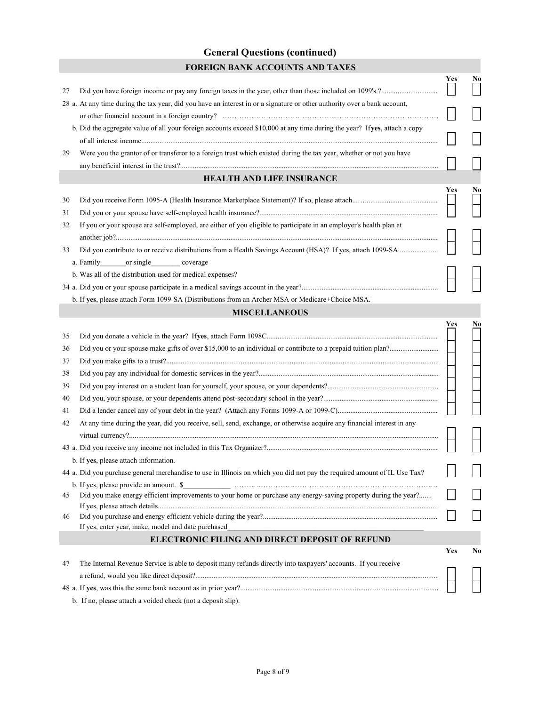## **General Questions (continued) FOREIGN BANK ACCOUNTS AND TAXES**

| 27 |                                                                                                                                                                                                                                                                                                                                                                                                                                                                                                                                              | Yes        | No |
|----|----------------------------------------------------------------------------------------------------------------------------------------------------------------------------------------------------------------------------------------------------------------------------------------------------------------------------------------------------------------------------------------------------------------------------------------------------------------------------------------------------------------------------------------------|------------|----|
|    | 28 a. At any time during the tax year, did you have an interest in or a signature or other authority over a bank account,                                                                                                                                                                                                                                                                                                                                                                                                                    |            |    |
|    |                                                                                                                                                                                                                                                                                                                                                                                                                                                                                                                                              |            |    |
|    | b. Did the aggregate value of all your foreign accounts exceed \$10,000 at any time during the year? Ifyes, attach a copy                                                                                                                                                                                                                                                                                                                                                                                                                    |            |    |
|    |                                                                                                                                                                                                                                                                                                                                                                                                                                                                                                                                              |            |    |
| 29 | Were you the grantor of or transferor to a foreign trust which existed during the tax year, whether or not you have                                                                                                                                                                                                                                                                                                                                                                                                                          |            |    |
|    |                                                                                                                                                                                                                                                                                                                                                                                                                                                                                                                                              |            |    |
|    | <b>HEALTH AND LIFE INSURANCE</b>                                                                                                                                                                                                                                                                                                                                                                                                                                                                                                             |            |    |
|    |                                                                                                                                                                                                                                                                                                                                                                                                                                                                                                                                              | Yes        | No |
| 30 |                                                                                                                                                                                                                                                                                                                                                                                                                                                                                                                                              |            |    |
| 31 |                                                                                                                                                                                                                                                                                                                                                                                                                                                                                                                                              |            |    |
| 32 | If you or your spouse are self-employed, are either of you eligible to participate in an employer's health plan at                                                                                                                                                                                                                                                                                                                                                                                                                           |            |    |
|    |                                                                                                                                                                                                                                                                                                                                                                                                                                                                                                                                              |            |    |
| 33 |                                                                                                                                                                                                                                                                                                                                                                                                                                                                                                                                              |            |    |
|    | a. Family ________ or single ___________ coverage                                                                                                                                                                                                                                                                                                                                                                                                                                                                                            |            |    |
|    | b. Was all of the distribution used for medical expenses?                                                                                                                                                                                                                                                                                                                                                                                                                                                                                    |            |    |
|    |                                                                                                                                                                                                                                                                                                                                                                                                                                                                                                                                              |            |    |
|    | b. If yes, please attach Form 1099-SA (Distributions from an Archer MSA or Medicare+Choice MSA.                                                                                                                                                                                                                                                                                                                                                                                                                                              |            |    |
|    | <b>MISCELLANEOUS</b>                                                                                                                                                                                                                                                                                                                                                                                                                                                                                                                         |            |    |
|    |                                                                                                                                                                                                                                                                                                                                                                                                                                                                                                                                              | Yes        | No |
| 35 |                                                                                                                                                                                                                                                                                                                                                                                                                                                                                                                                              |            |    |
| 36 |                                                                                                                                                                                                                                                                                                                                                                                                                                                                                                                                              |            |    |
| 37 |                                                                                                                                                                                                                                                                                                                                                                                                                                                                                                                                              |            |    |
| 38 |                                                                                                                                                                                                                                                                                                                                                                                                                                                                                                                                              |            |    |
| 39 |                                                                                                                                                                                                                                                                                                                                                                                                                                                                                                                                              |            |    |
| 40 |                                                                                                                                                                                                                                                                                                                                                                                                                                                                                                                                              |            |    |
| 41 |                                                                                                                                                                                                                                                                                                                                                                                                                                                                                                                                              |            |    |
| 42 | At any time during the year, did you receive, sell, send, exchange, or otherwise acquire any financial interest in any                                                                                                                                                                                                                                                                                                                                                                                                                       |            |    |
|    |                                                                                                                                                                                                                                                                                                                                                                                                                                                                                                                                              |            |    |
|    |                                                                                                                                                                                                                                                                                                                                                                                                                                                                                                                                              |            |    |
|    | b. If yes, please attach information.                                                                                                                                                                                                                                                                                                                                                                                                                                                                                                        |            |    |
|    | 44 a. Did you purchase general merchandise to use in Illinois on which you did not pay the required amount of IL Use Tax?                                                                                                                                                                                                                                                                                                                                                                                                                    |            |    |
|    | $\begin{minipage}[c]{0.9\linewidth} \begin{tabular}{l} \hline \multicolumn{3}{l}{} & \multicolumn{3}{l}{} & \multicolumn{3}{l}{} \\ \multicolumn{3}{l}{} & \multicolumn{3}{l}{} \\ \hline \multicolumn{3}{l}{} & \multicolumn{3}{l}{} \\ \multicolumn{3}{l}{} & \multicolumn{3}{l}{} \\ \multicolumn{3}{l}{} & \multicolumn{3}{l}{} \\ \multicolumn{3}{l}{} & \multicolumn{3}{l}{} \\ \multicolumn{3}{l}{} & \multicolumn{3}{l}{} \\ \multicolumn{3}{l}{} & \multicolumn{3}{l}{} \\ \multicolumn$<br>b. If yes, please provide an amount. \$ |            |    |
| 45 | Did you make energy efficient improvements to your home or purchase any energy-saving property during the year?                                                                                                                                                                                                                                                                                                                                                                                                                              |            |    |
|    |                                                                                                                                                                                                                                                                                                                                                                                                                                                                                                                                              |            |    |
| 46 |                                                                                                                                                                                                                                                                                                                                                                                                                                                                                                                                              |            |    |
|    | If yes, enter year, make, model and date purchased                                                                                                                                                                                                                                                                                                                                                                                                                                                                                           |            |    |
|    | ELECTRONIC FILING AND DIRECT DEPOSIT OF REFUND                                                                                                                                                                                                                                                                                                                                                                                                                                                                                               |            |    |
|    |                                                                                                                                                                                                                                                                                                                                                                                                                                                                                                                                              | <b>Yes</b> | No |
| 47 | The Internal Revenue Service is able to deposit many refunds directly into taxpayers' accounts. If you receive                                                                                                                                                                                                                                                                                                                                                                                                                               |            |    |
|    |                                                                                                                                                                                                                                                                                                                                                                                                                                                                                                                                              |            |    |
|    |                                                                                                                                                                                                                                                                                                                                                                                                                                                                                                                                              |            |    |
|    |                                                                                                                                                                                                                                                                                                                                                                                                                                                                                                                                              |            |    |

b. If no, please attach a voided check (not a deposit slip).